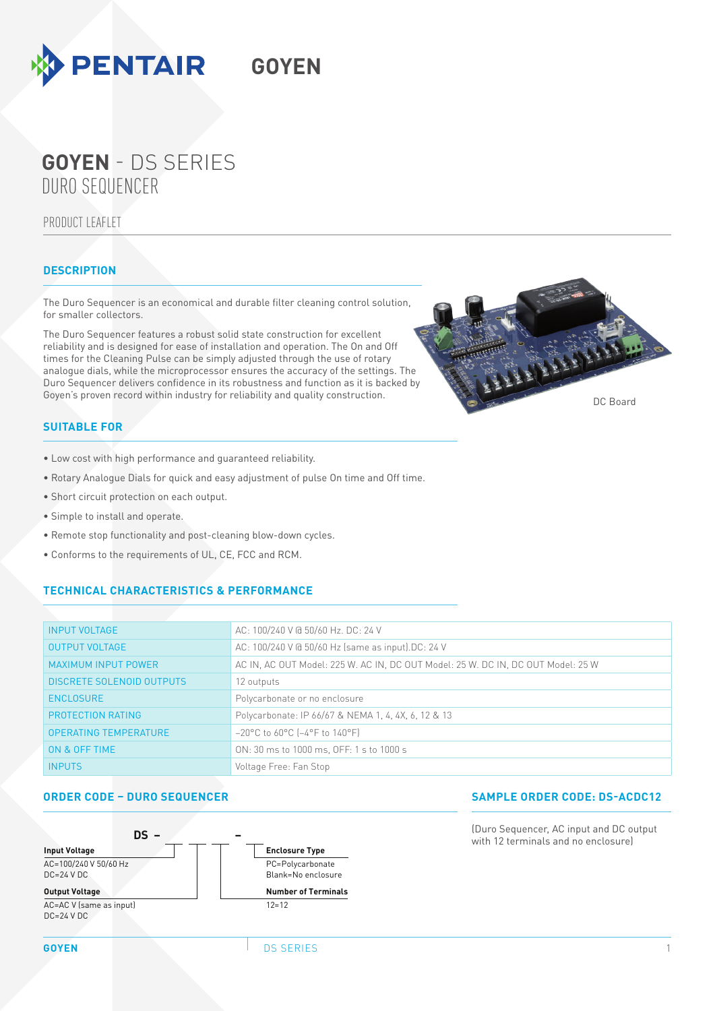

# DURO SEQUENCER **GOYEN** - DS SERIES

## PRODUCT LEAFLET

## **DESCRIPTION**

The Duro Sequencer is an economical and durable filter cleaning control solution, for smaller collectors.

**GOYEN**

The Duro Sequencer features a robust solid state construction for excellent reliability and is designed for ease of installation and operation. The On and Off times for the Cleaning Pulse can be simply adjusted through the use of rotary analogue dials, while the microprocessor ensures the accuracy of the settings. The Duro Sequencer delivers confidence in its robustness and function as it is backed by Goyen's proven record within industry for reliability and quality construction.



# **SUITABLE FOR**

- Low cost with high performance and guaranteed reliability.
- Rotary Analogue Dials for quick and easy adjustment of pulse On time and Off time.
- Short circuit protection on each output.
- Simple to install and operate.
- Remote stop functionality and post-cleaning blow-down cycles.
- Conforms to the requirements of UL, CE, FCC and RCM.

### **TECHNICAL CHARACTERISTICS & PERFORMANCE**

| <b>INPUT VOLTAGE</b>             | AC: 100/240 V @ 50/60 Hz. DC: 24 V                                               |
|----------------------------------|----------------------------------------------------------------------------------|
| <b>OUTPUT VOLTAGE</b>            | AC: 100/240 V @ 50/60 Hz (same as input).DC: 24 V                                |
| <b>MAXIMUM INPUT POWER</b>       | AC IN, AC OUT Model: 225 W. AC IN, DC OUT Model: 25 W. DC IN, DC OUT Model: 25 W |
| <b>DISCRETE SOLENOID OUTPUTS</b> | 12 outputs                                                                       |
| <b>ENCLOSURE</b>                 | Polycarbonate or no enclosure                                                    |
| PROTECTION RATING                | Polycarbonate: IP 66/67 & NEMA 1, 4, 4X, 6, 12 & 13                              |
| <b>OPERATING TEMPERATURE</b>     | $-20^{\circ}$ C to 60°C ( $-4^{\circ}$ F to 140°F)                               |
| ON & OFF TIME                    | ON: 30 ms to 1000 ms, OFF: 1 s to 1000 s                                         |
| <b>INPUTS</b>                    | Voltage Free: Fan Stop                                                           |

### **ORDER CODE – DURO SEQUENCER SAMPLE ORDER CODE: DS-ACDC12**



(Duro Sequencer, AC input and DC output with 12 terminals and no enclosure)